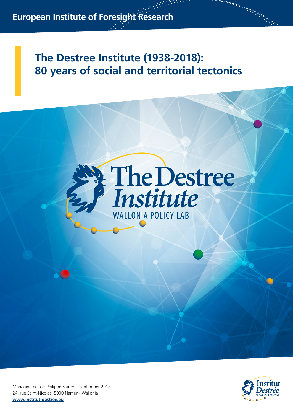# **The Destree Institute (1938-2018): 80 years of social and territorial tectonics**





and and all the same

Managing editor: Philippe Suinen - September 2018 24, rue Saint-Nicolas, 5000 Namur - Wallonia **www.institut-destree.eu**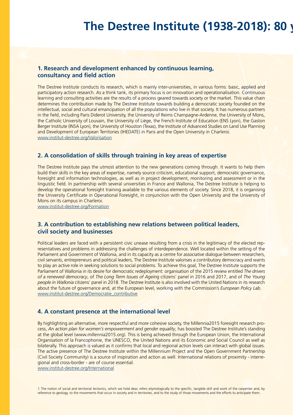# **The Destree Institute (1938-2018): 80 years**

# **1. Research and development enhanced by continuous learning, consultancy and field action**

The Destree Institute conducts its research, which is mainly inter-universities, in various forms: basic, applied and participatory action research. As a think tank, its primary focus is on innovation and operationalisation. Continuous learning and consulting activities are the results of a process geared towards society or the market. This value chain determines the contribution made by The Destree Institute towards building a democratic society founded on the intellectual, social and cultural emancipation of all the populations who live in that society. It has numerous partners in the field, including Paris Diderot University, the University of Reims Champagne-Ardenne, the University of Mons, the Catholic University of Louvain, the University of Liège, the French Institute of Education (ENS Lyon), the Gaston Berger Institute (INSA Lyon), the University of Houston (Texas), the Institute of Advanced Studies on Land Use Planning and Development of European Territories (IHEDATE) in Paris and the Open University in Charleroi. www.institut-destree.org/Valorisation

# **2. A consolidation of skills through training in key areas of expertise**

The Destree Institute pays the utmost attention to the new generations coming through. It wants to help them build their skills in the key areas of expertise, namely source criticism, educational support, democratic governance, foresight and information technologies, as well as in project development, monitoring and assessment or in the linguistic field. In partnership with several universities in France and Wallonia, The Destree Institute is helping to develop the operational foresight training available to the various elements of society. Since 2018, it is organising the University Certificate in Operational Foresight, in conjunction with the Open University and the University of Mons on its campus in Charleroi.

www.institut-destree.org/Formation

# **3. A contribution to establishing new relations between political leaders, civil society and businesses**

Political leaders are faced with a persistent civic unease resulting from a crisis in the legitimacy of the elected representatives and problems in addressing the challenges of interdependence. Well located within the setting of the Parliament and Government of Wallonia, and in its capacity as a centre for associative dialogue between researchers, civil servants, entrepreneurs and political leaders, The Destree Institute valorises a contributory democracy and wants to play an active role in seeking solutions to social problems. To achieve this goal, The Destree Institute supports the Parliament of Wallonia in its desire for democratic redeployment: organisation of the 2015 review entitled *The drivers of a renewed democracy*, of *The Long Term Issues of Agein*g citizens' panel in 2016 and 2017, and of *The Young people in Wallonia* citizens' panel in 2018. The Destree Institute is also involved with the United Nations in its research about the future of governance and, at the European level, working with the Commission's *European Policy Lab*. www.institut-destree.org/Democratie\_contributive

# **4. A constant presence at the international level**

By highlighting an alternative, more respectful and more cohesive society, the Millennia2015 foresight research process, *An action plan for women's empowerment and gender equality*, has boosted The Destree Institute's standing at the global level (www.millennia2015.org). This is being achieved through the European Union, the International Organisation of la Francophonie, the UNESCO, the United Nations and its Economic and Social Council as well as bilaterally. This approach is valued as it confirms that local and regional action levels can interact with global issues. The active presence of The Destree Institute within the Millennium Project and the Open Government Partnership (Civil Society Community) is a source of inspiration and action as well. International relations of proximity - interregional and cross-border - are of course essential.

www.institut-destree.org/International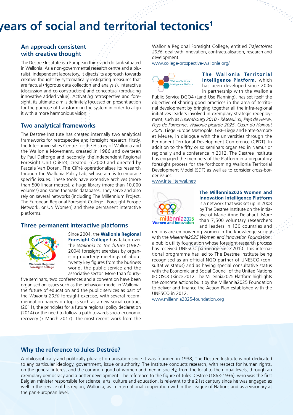# **The Destre** institution of social and territorial tectonics<sup>1</sup>

# **An approach consistent with creative thought**

The Destree Institute is a European think-and-do tank situated in Wallonia. As a non-governmental research centre and a pluralist, independent laboratory, it directs its approach towards creative thought by systematically instigating measures that are factual (rigorous data collection and analysis), interactive (discussion and co-construction) and conceptual (producing innovative added value). Activating retrospective and foresight, its ultimate aim is definitely focussed on present action for the purpose of transforming the system in order to align it with a more harmonious vision.

# **Two analytical frameworks**

The Destree Institute has created internally two analytical frameworks for retrospective and foresight research: firstly, the Inter-universities Centre for the History of Wallonia and the Wallonia Movement, created in 1986 and overseen by Paul Delforge and, secondly, the Independent Regional Foresight Unit (CiPré), created in 2000 and directed by Pascale Van Doren. The CiPré operationalises its research through the Wallonia Policy Lab, whose aim is to embrace specific issues. These tools have extensive archives (more than 500 linear metres), a huge library (more than 10,000 volumes) and some thematic databases. They serve and also rely on several networks (including The Millennium Project, The European Regional Foresight College - Foresight Europe Network, or UN Women) and three permanent interactive platforms.

#### **Three permanent interactive platforms**



Since 2004, the **Wallonia Regional Foresight College** has taken over the *Wallonia to the future* (1987- 2004) foresight exercises by organising quarterly meetings of about twenty key figures from the business world, the public service and the associative sector. More than fourty-

five seminars, two conferences and a convention have been organised on issues such as the behaviour model in Wallonia, the future of education and the public services as part of the *Wallonia 2030* foresight exercise, with several recommendation papers on topics such as a new social contract (2011), the principles for a future regional policy declaration (2014) or the need to follow a path towards socio-economic recovery (7 March 2017). The most recent work from the Wallonia Regional Foresight College, entitled *Trajectoires 2036*, deal with innovation, contractualisation, research and development.

www.college-prospective-wallonie.org/



**The Wallonia Territorial Intelligence Platform**, which has been developed since 2006 in partnership with the Wallonia

Public Service DGO4 (Land Use Planning), has set itself the objective of sharing good practices in the area of territorial development by bringing together all the infra-regional initiatives leaders involved in exemplary strategic redeployment, such as *Luxembourg 2010* - *RéseauLux*, *Pays de Herve*, *Pays de Famenne*, *Wallonie picarde 2025*, *Cœur du Hainaut 2025*, Liège Europe Métropole, GRE-Liège and Entre-Sambre et Meuse, in dialogue with the universities through the Permanent Territorial Development Conference (CPDT). In addition to the fifty or so seminars organised in Namur or regionally and a conference in 2012, The Destree Institute has engaged the members of the Platform in a preparatory foresight process for the forthcoming Wallonia Territorial Development Model (SDT) as well as to consider cross-border issues.

www.intelliterwal.net/



**The Millennia2025 Women and Innovation Intelligence Platform** is a network that was set up in 2008 by The Destree Institute on the initiative of Marie-Anne Delahaut. More than 7,500 voluntary researchers and leaders in 130 countries and

regions are empowering women in the knowledge society with the *Millennia2025 Women and Innovation Foundation*, a public utility foundation whose foresight research process has received UNESCO patronage since 2010. This international programme has led to The Destree Institute being recognised as an official NGO partner of UNESCO (consultative status) and as having special consultative status with the Economic and Social Council of the United Nations (ECOSOC) since 2012. The Millennia2025 Platform highlights the concrete actions built by the Millennia2025 Foundation to deliver and finance the Action Plan established with the UNESCO in 2012.

www.millennia2025-foundation.org

#### **Why the reference to Jules Destrée?**

A philosophically and politically pluralist organisation since it was founded in 1938, The Destree Institute is not dedicated to any particular ideology, government, issue or authority. The Institute conducts research, with respect for human rights, on the general interest and the common good of women and men in society, from the local to the global levels, through an exemplary democracy and a better development. The reference to the figure of Jules Destrée (1863-1936), who was the first Belgian minister responsible for science, arts, culture and education, is relevant to the 21st century since he was engaged as well in the service of his region, Wallonia, as in international cooperation within the League of Nations and as a visionary at the pan-European level.